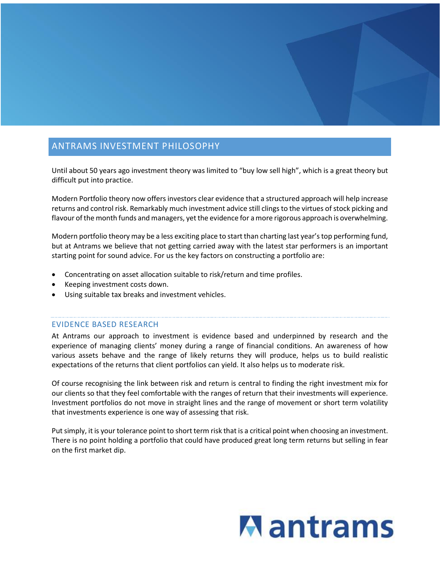## ANTRAMS INVESTMENT PHILOSOPHY

Until about 50 years ago investment theory was limited to "buy low sell high", which is a great theory but difficult put into practice.

Modern Portfolio theory now offers investors clear evidence that a structured approach will help increase returns and control risk. Remarkably much investment advice still clings to the virtues of stock picking and flavour of the month funds and managers, yet the evidence for a more rigorous approach is overwhelming.

Modern portfolio theory may be a less exciting place to start than charting last year's top performing fund, but at Antrams we believe that not getting carried away with the latest star performers is an important starting point for sound advice. For us the key factors on constructing a portfolio are:

- Concentrating on asset allocation suitable to risk/return and time profiles.
- Keeping investment costs down.
- Using suitable tax breaks and investment vehicles.

## EVIDENCE BASED RESEARCH

At Antrams our approach to investment is evidence based and underpinned by research and the experience of managing clients' money during a range of financial conditions. An awareness of how various assets behave and the range of likely returns they will produce, helps us to build realistic expectations of the returns that client portfolios can yield. It also helps us to moderate risk.

Of course recognising the link between risk and return is central to finding the right investment mix for our clients so that they feel comfortable with the ranges of return that their investments will experience. Investment portfolios do not move in straight lines and the range of movement or short term volatility that investments experience is one way of assessing that risk.

Put simply, it is your tolerance point to short term risk that is a critical point when choosing an investment. There is no point holding a portfolio that could have produced great long term returns but selling in fear on the first market dip.